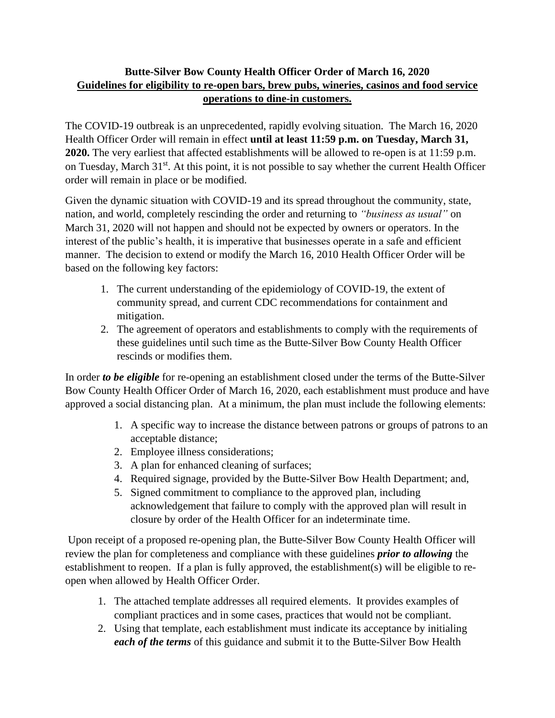## **Butte-Silver Bow County Health Officer Order of March 16, 2020 Guidelines for eligibility to re-open bars, brew pubs, wineries, casinos and food service operations to dine-in customers.**

The COVID-19 outbreak is an unprecedented, rapidly evolving situation. The March 16, 2020 Health Officer Order will remain in effect **until at least 11:59 p.m. on Tuesday, March 31, 2020.** The very earliest that affected establishments will be allowed to re-open is at 11:59 p.m. on Tuesday, March 31<sup>st</sup>. At this point, it is not possible to say whether the current Health Officer order will remain in place or be modified.

Given the dynamic situation with COVID-19 and its spread throughout the community, state, nation, and world, completely rescinding the order and returning to *"business as usual"* on March 31, 2020 will not happen and should not be expected by owners or operators. In the interest of the public's health, it is imperative that businesses operate in a safe and efficient manner. The decision to extend or modify the March 16, 2010 Health Officer Order will be based on the following key factors:

- 1. The current understanding of the epidemiology of COVID-19, the extent of community spread, and current CDC recommendations for containment and mitigation.
- 2. The agreement of operators and establishments to comply with the requirements of these guidelines until such time as the Butte-Silver Bow County Health Officer rescinds or modifies them.

In order *to be eligible* for re-opening an establishment closed under the terms of the Butte-Silver Bow County Health Officer Order of March 16, 2020, each establishment must produce and have approved a social distancing plan. At a minimum, the plan must include the following elements:

- 1. A specific way to increase the distance between patrons or groups of patrons to an acceptable distance;
- 2. Employee illness considerations;
- 3. A plan for enhanced cleaning of surfaces;
- 4. Required signage, provided by the Butte-Silver Bow Health Department; and,
- 5. Signed commitment to compliance to the approved plan, including acknowledgement that failure to comply with the approved plan will result in closure by order of the Health Officer for an indeterminate time.

Upon receipt of a proposed re-opening plan, the Butte-Silver Bow County Health Officer will review the plan for completeness and compliance with these guidelines *prior to allowing* the establishment to reopen. If a plan is fully approved, the establishment(s) will be eligible to reopen when allowed by Health Officer Order.

- 1. The attached template addresses all required elements. It provides examples of compliant practices and in some cases, practices that would not be compliant.
- 2. Using that template, each establishment must indicate its acceptance by initialing *each of the terms* of this guidance and submit it to the Butte-Silver Bow Health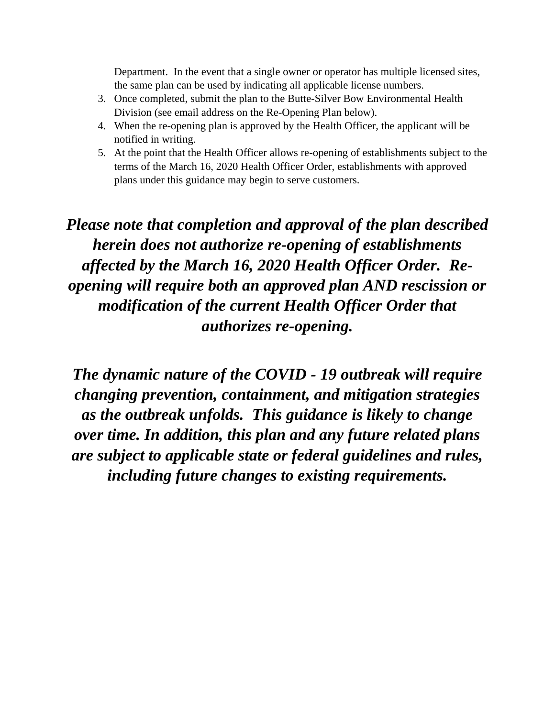Department. In the event that a single owner or operator has multiple licensed sites, the same plan can be used by indicating all applicable license numbers.

- 3. Once completed, submit the plan to the Butte-Silver Bow Environmental Health Division (see email address on the Re-Opening Plan below).
- 4. When the re-opening plan is approved by the Health Officer, the applicant will be notified in writing.
- 5. At the point that the Health Officer allows re-opening of establishments subject to the terms of the March 16, 2020 Health Officer Order, establishments with approved plans under this guidance may begin to serve customers.

*Please note that completion and approval of the plan described herein does not authorize re-opening of establishments affected by the March 16, 2020 Health Officer Order. Reopening will require both an approved plan AND rescission or modification of the current Health Officer Order that authorizes re-opening.*

*The dynamic nature of the COVID - 19 outbreak will require changing prevention, containment, and mitigation strategies as the outbreak unfolds. This guidance is likely to change over time. In addition, this plan and any future related plans are subject to applicable state or federal guidelines and rules, including future changes to existing requirements.*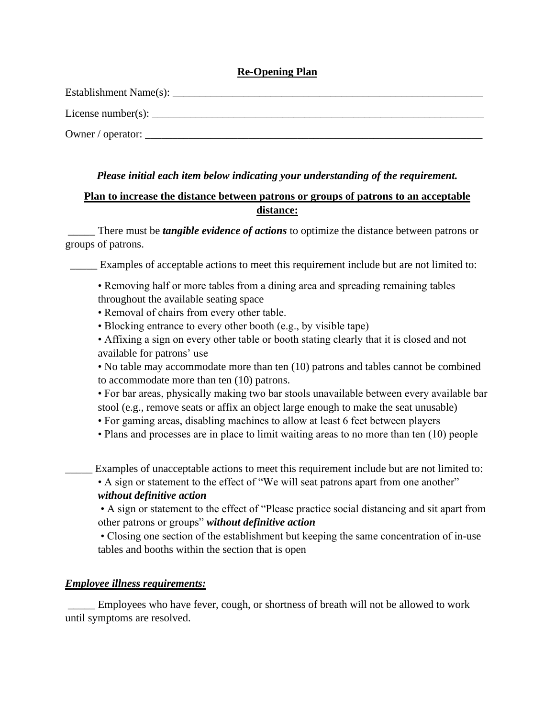### **Re-Opening Plan**

| Establishment Name(s):    |
|---------------------------|
| License number(s): $\_\_$ |
| Owner / operator: __      |

## *Please initial each item below indicating your understanding of the requirement.*

## **Plan to increase the distance between patrons or groups of patrons to an acceptable distance:**

There must be *tangible evidence of actions* to optimize the distance between patrons or groups of patrons.

Examples of acceptable actions to meet this requirement include but are not limited to:

• Removing half or more tables from a dining area and spreading remaining tables throughout the available seating space

- Removal of chairs from every other table.
- Blocking entrance to every other booth (e.g., by visible tape)
- Affixing a sign on every other table or booth stating clearly that it is closed and not available for patrons' use

• No table may accommodate more than ten (10) patrons and tables cannot be combined to accommodate more than ten (10) patrons.

• For bar areas, physically making two bar stools unavailable between every available bar stool (e.g., remove seats or affix an object large enough to make the seat unusable)

- For gaming areas, disabling machines to allow at least 6 feet between players
- Plans and processes are in place to limit waiting areas to no more than ten (10) people

Examples of unacceptable actions to meet this requirement include but are not limited to:

• A sign or statement to the effect of "We will seat patrons apart from one another" *without definitive action*

• A sign or statement to the effect of "Please practice social distancing and sit apart from other patrons or groups" *without definitive action*

• Closing one section of the establishment but keeping the same concentration of in-use tables and booths within the section that is open

## *Employee illness requirements:*

\_\_\_\_\_ Employees who have fever, cough, or shortness of breath will not be allowed to work until symptoms are resolved.